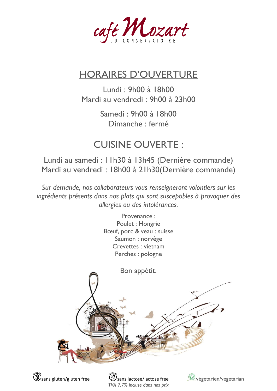

## HORAIRES D'OUVERTURE

Lundi : 9h00 à 18h00 Mardi au vendredi : 9h00 à 23h00

> Samedi : 9h00 à 18h00 Dimanche : fermé

## CUISINE OUVERTE :

Lundi au samedi : 11h30 à 13h45 (Dernière commande) Mardi au vendredi : 18h00 à 21h30(Dernière commande)

*Sur demande, nos collaborateurs vous renseigneront volontiers sur les ingrédients présents dans nos plats qui sont susceptibles à provoquer des allergies ou des intolérances.*



*TVA 7.7% incluse dans nos prix*

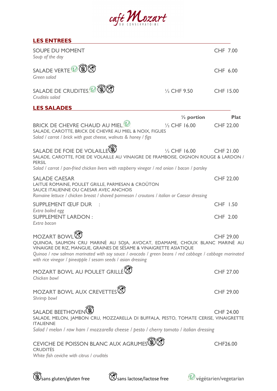## café Mozart

| <b>LES ENTREES</b>                                                                                                                                                                                                                                                                                                                              |                         |                  |
|-------------------------------------------------------------------------------------------------------------------------------------------------------------------------------------------------------------------------------------------------------------------------------------------------------------------------------------------------|-------------------------|------------------|
| <b>SOUPE DU MOMENT</b><br>Soup of the day                                                                                                                                                                                                                                                                                                       |                         | CHF 7.00         |
| SALADE VERTE $\mathbb {V}$<br>Green salad                                                                                                                                                                                                                                                                                                       |                         | CHF 6.00         |
| SALADE DE CRUDITES $\overline{\mathcal{P}}$<br>Crudités salad                                                                                                                                                                                                                                                                                   | $\frac{1}{2}$ CHF 9.50  | CHF 15.00        |
| <b>LES SALADES</b>                                                                                                                                                                                                                                                                                                                              |                         |                  |
|                                                                                                                                                                                                                                                                                                                                                 | $\frac{1}{2}$ portion   | <b>Plat</b>      |
| BRICK DE CHEVRE CHAUD AU MIEL <sup>V</sup><br>SALADE, CAROTTE, BRICK DE CHEVRE AU MIEL & NOIX, FIGUES<br>Salad / carrot / brick with goat cheese, walnuts & honey / figs                                                                                                                                                                        | $\frac{1}{2}$ CHF 16.00 | <b>CHF 22.00</b> |
| SALADE DE FOIE DE VOLAILLE<br>SALADE, CAROTTE, FOIE DE VOLAILLE AU VINAIGRE DE FRAMBOISE, OIGNON ROUGE & LARDON /<br><b>PERSIL</b><br>Salad / carrot / pan-fried chicken livers with raspberry vinegar / red onion / bacon / parsley                                                                                                            | $\frac{1}{2}$ CHF 16.00 | <b>CHF 21.00</b> |
|                                                                                                                                                                                                                                                                                                                                                 |                         |                  |
| <b>SALADE CAESAR</b><br>LAITUE ROMAINE, POULET GRILLE, PARMESAN & CROÛTON<br>SAUCE ITALIENNE OU CAESAR AVEC ANCHOIS<br>Romaine lettuce / chicken breast / shaved parmesan / croutons / italian or Caesar dressing                                                                                                                               |                         | <b>CHF 22.00</b> |
| <b>SUPPLEMENT ŒUF DUR</b>                                                                                                                                                                                                                                                                                                                       |                         | <b>CHF 1.50</b>  |
| Extra boiled egg<br><b>SUPPLEMENT LARDON:</b><br>Extra bacon                                                                                                                                                                                                                                                                                    |                         | CHF 2.00         |
| <b>MOZART BOWL</b><br>QUINOA, SAUMON CRU MARINÉ AU SOJA, AVOCAT, EDAMAME, CHOUX BLANC MARINÉ AU<br>VINAIGRE DE RIZ, MANGUE, GRAINES DE SÉSAME & VINAIGRETTE ASIATIQUE<br>Quinoa / raw salmon marinated with soy sauce / avocado / green beans / red cabbage / cabbage marinated<br>with rice vinegar / pineapple / sesam seeds / asian dressing |                         | <b>CHF 29.00</b> |
| MOZART BOWL AU POULET GRILLÉ<br>Chicken bowl                                                                                                                                                                                                                                                                                                    |                         | <b>CHF 27.00</b> |
| MOZART BOWL AUX CREVETTES <sup><sup>3</sup></sup><br>Shrimp bowl                                                                                                                                                                                                                                                                                |                         | <b>CHF 29.00</b> |
| SALADE BEETHOVEN <sup>(2)</sup><br>SALADE, MELON, JAMBON CRU, MOZZARELLA DI BUFFALA, PESTO, TOMATE CERISE, VINAIGRETTE<br><b>ITALIENNE</b>                                                                                                                                                                                                      |                         | <b>CHF 24.00</b> |
| Salad / melon / raw ham / mozzarella cheese / pesto / cherry tomato / italian dressing                                                                                                                                                                                                                                                          |                         |                  |
| CEVICHE DE POISSON BLANC AUX AGRUMES <sup>(2)</sup><br><b>CRUDITÉS</b><br>White fish ceviche with citrus / crudités                                                                                                                                                                                                                             |                         | CHF26.00         |





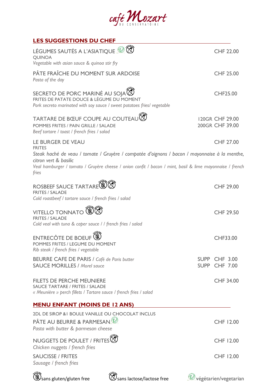

| <b>LES SUGGESTIONS DU CHEF</b>                                                                                                                                                                                                              |                                    |
|---------------------------------------------------------------------------------------------------------------------------------------------------------------------------------------------------------------------------------------------|------------------------------------|
| $\otimes$<br>LÉGUMES SAUTÉS A L'ASIATIQUE<br><b>QUINOA</b><br>Vegetable with asian sauce & quinoa stir fry                                                                                                                                  | <b>CHF 22.00</b>                   |
| PÂTE FRAÎCHE DU MOMENT SUR ARDOISE<br>Pasta of the day                                                                                                                                                                                      | <b>CHF 25.00</b>                   |
| SECRETO DE PORC MARINÉ AU SOJA S<br>FRITES DE PATATE DOUCE & LÉGUME DU MOMENT<br>Pork secreto marinated with soy sauce / sweet potatoes fries/ vegetable                                                                                    | CHF25.00                           |
| TARTARE DE BŒUF COUPE AU COUTEAU<br>POMMES FRITES / PAIN GRILLE / SALADE<br>Beef tartare / toast / french fries / salad                                                                                                                     | 120GR CHF 29.00<br>200GR CHF 39.00 |
| LE BURGER DE VEAU<br><b>FRITES</b>                                                                                                                                                                                                          | CHF 27.00                          |
| Steak haché de veau / tomate / Gruyère / compotée d'oignons / bacon / mayonnaise à la menthe,<br>citron vert & basilic<br>Veal hamburger / tomato / Gruyère cheese / onion confit / bacon / mint, basil & lime mayonnaise / french<br>fries |                                    |
| ROSBEEF SAUCE TARTARE<br><b>FRITES / SALADE</b><br>Cold roastbeef / tartare sauce / french fries / salad                                                                                                                                    | <b>CHF 29.00</b>                   |
| <b>VITELLO TONNATO</b><br><b>FRITES / SALADE</b><br>Cold veal with tuna & caper sauce / / french fries / salad                                                                                                                              | <b>CHF 29.50</b>                   |
| <b>ENTRECÔTE DE BOEUF</b><br>POMMES FRITES / LEGUME DU MOMENT<br>Rib steak / french fries / vegetable                                                                                                                                       | <b>CHF33.00</b>                    |
| <b>BEURRE CAFE DE PARIS / Café de Paris butter</b><br><b>SAUCE MORILLES / Morel sauce</b>                                                                                                                                                   | SUPP CHF 3.00<br>SUPP CHF 7.00     |
| <b>FILETS DE PERCHE MEUNIERE</b><br>SAUCE TARTARE / FRITES / SALADE<br>« Meunière » perch fillets / Tartare sauce / french fries / salad                                                                                                    | <b>CHF 34.00</b>                   |
| <b>MENU ENFANT (MOINS DE 12 ANS)</b>                                                                                                                                                                                                        |                                    |
| 2DL DE SIROP & I BOULE VANILLE OU CHOCOLAT INCLUS                                                                                                                                                                                           |                                    |
| PÂTE AU BEURRE & PARMESAN $\mathcal V$<br>Pasta with butter & parmesan cheese                                                                                                                                                               | CHF 12.00                          |
| NUGGETS DE POULET / FRITES <sup>T</sup><br>Chicken nuggets / french fries                                                                                                                                                                   | CHF 12.00                          |
| <b>SAUCISSE / FRITES</b><br>Sausage / french fries                                                                                                                                                                                          | CHF 12.00                          |